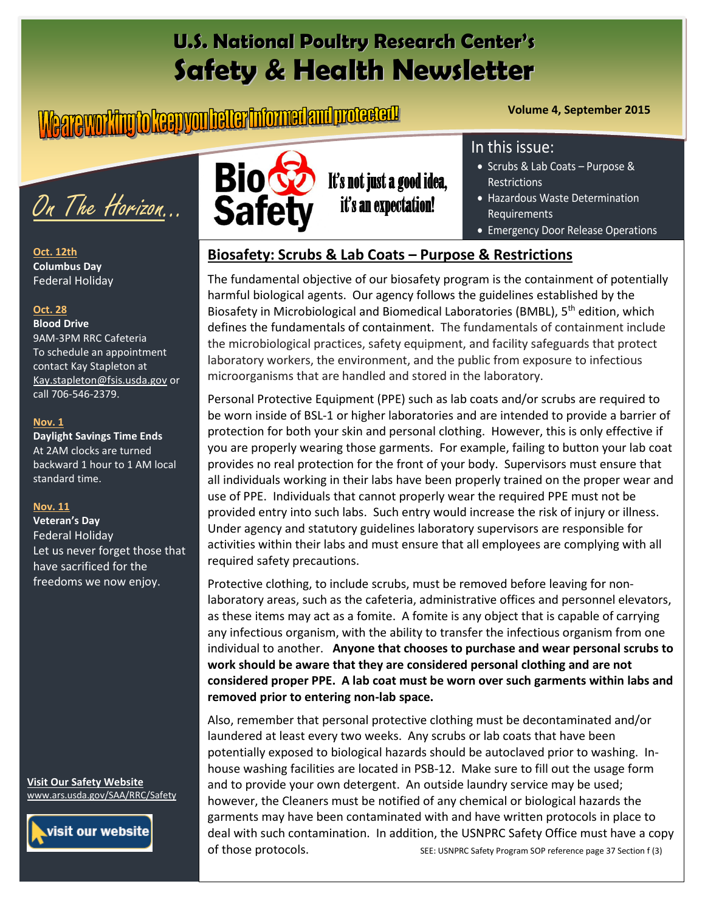# **U.S. National Poultry Research Center's Safety & Health Newsletter**

# **Volume 4, September 2015**



**Oct. 12th Columbus Day** Federal Holiday

## **Oct. 28**

#### **Blood Drive**  9AM-3PM RRC Cafeteria To schedule an appointment contact Kay Stapleton at [Kay.stapleton@fsis.usda.gov](mailto:Kay.stapleton@fsis.usda.gov) or call 706-546-2379.

#### **Nov. 1**

**Daylight Savings Time Ends**  At 2AM clocks are turned backward 1 hour to 1 AM local standard time.

#### **Nov. 11**

**Veteran's Day** Federal Holiday Let us never forget those that have sacrificed for the freedoms we now enjoy.

**Visit Our Safety Website**  [www.ars.usda.gov/SAA/RRC/Safety](http://www.ars.usda.gov/SAA/RRC/Safety)





It's not just a good idea, it's an expectation!

# In this issue:

- Scrubs & Lab Coats Purpose & Restrictions
- Hazardous Waste Determination Requirements
- Emergency Door Release Operations

# **Biosafety: Scrubs & Lab Coats – Purpose & Restrictions**

The fundamental objective of our biosafety program is the containment of potentially harmful biological agents. Our agency follows the guidelines established by the Biosafety in Microbiological and Biomedical Laboratories (BMBL), 5<sup>th</sup> edition, which defines the fundamentals of containment. The fundamentals of containment include the microbiological practices, safety equipment, and facility safeguards that protect laboratory workers, the environment, and the public from exposure to infectious microorganisms that are handled and stored in the laboratory.

Personal Protective Equipment (PPE) such as lab coats and/or scrubs are required to be worn inside of BSL-1 or higher laboratories and are intended to provide a barrier of protection for both your skin and personal clothing. However, this is only effective if you are properly wearing those garments. For example, failing to button your lab coat provides no real protection for the front of your body. Supervisors must ensure that all individuals working in their labs have been properly trained on the proper wear and use of PPE. Individuals that cannot properly wear the required PPE must not be provided entry into such labs. Such entry would increase the risk of injury or illness. Under agency and statutory guidelines laboratory supervisors are responsible for activities within their labs and must ensure that all employees are complying with all required safety precautions.

Protective clothing, to include scrubs, must be removed before leaving for nonlaboratory areas, such as the cafeteria, administrative offices and personnel elevators, as these items may act as a fomite. A fomite is any object that is capable of carrying any infectious organism, with the ability to transfer the infectious organism from one individual to another. **Anyone that chooses to purchase and wear personal scrubs to work should be aware that they are considered personal clothing and are not considered proper PPE. A lab coat must be worn over such garments within labs and removed prior to entering non-lab space.**

Also, remember that personal protective clothing must be decontaminated and/or laundered at least every two weeks. Any scrubs or lab coats that have been potentially exposed to biological hazards should be autoclaved prior to washing. Inhouse washing facilities are located in PSB-12. Make sure to fill out the usage form and to provide your own detergent. An outside laundry service may be used; however, the Cleaners must be notified of any chemical or biological hazards the garments may have been contaminated with and have written protocols in place to deal with such contamination. In addition, the USNPRC Safety Office must have a copy of those protocols. SEE: USNPRC Safety Program SOP reference page 37 Section f (3)